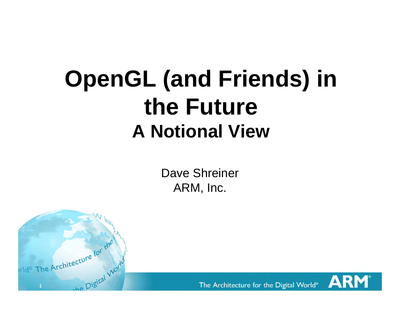# **OpenGL (and Friends) in the Future A Notional View**

Dave Shreiner ARM, Inc.



The Architecture for the Digital World®

AR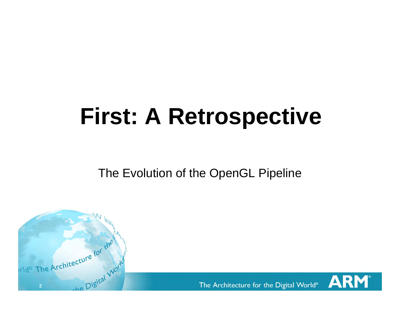# **First: A Retrospective**

The Evolution of the OpenGL Pipeline

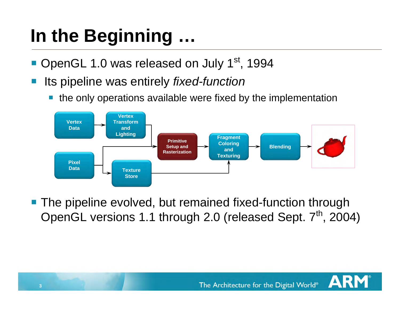## **In the Beginning …**

- OpenGL 1.0 was released on July 1<sup>st</sup>, 1994
- Its pipeline was entirely *fixed-function*
	- p. the only operations available were fixed by the implementation



**The pipeline evolved, but remained fixed-function through** OpenGL versions 1.1 through 2.0 (released Sept. 7<sup>th</sup>, 2004)

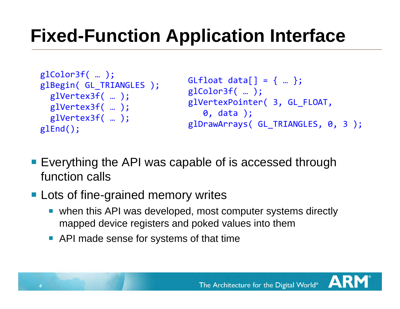### **Fixed-Function Application Interface**

```
glColor3f( … );
glBegin( GL_TRIANGLES );
  glVertex3f( … );
  glVertex3f( … );
  glVertex3f( … );
glEnd();
```

```
GLfloat data[ ] = { ... };glColor3f( … );
glVertexPointer( 3, GL_FLOAT,
   0, data );
glDrawArrays( GL_TRIANGLES, 0, 3 );
```
**Exerything the API was capable of is accessed through** function calls

### **Lots of fine-grained memory writes**

- when this API was developed, most computer systems directly mapped device registers and poked values into them
- **API made sense for systems of that time**

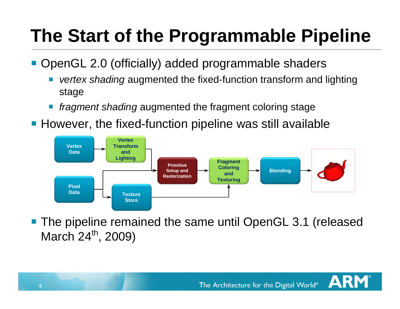## **The Start of the Programmable Pipeline**

■ OpenGL 2.0 (officially) added programmable shaders

- p. *vertex shading* augmented the fixed-function transform and lighting stage
- p. *fragment shading* augmented the fragment coloring stage
- However, the fixed-function pipeline was still available



 The pipeline remained the same until OpenGL 3.1 (released March 24<sup>th</sup>, 2009)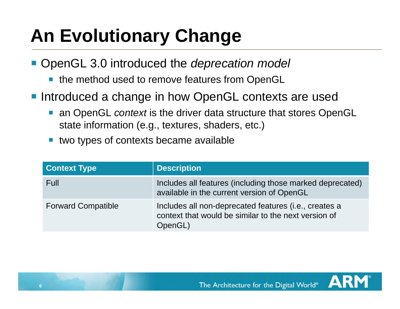### **An Evolutionary Change**

OpenGL 3.0 introduced the *deprecation model*

- the method used to remove features from OpenGL
- **Introduced a change in how OpenGL contexts are used** 
	- an OpenGL *context* is the driver data structure that stores OpenGL state information (e.g., textures, shaders, etc.)
	- p. two types of contexts became available

| <b>Context Type</b>       | <b>Description</b>                                                                                                                |
|---------------------------|-----------------------------------------------------------------------------------------------------------------------------------|
| Full                      | Includes all features (including those marked deprecated)<br>available in the current version of OpenGL                           |
| <b>Forward Compatible</b> | Includes all non-deprecated features ( <i>i.e.</i> , creates a<br>context that would be similar to the next version of<br>OpenGL) |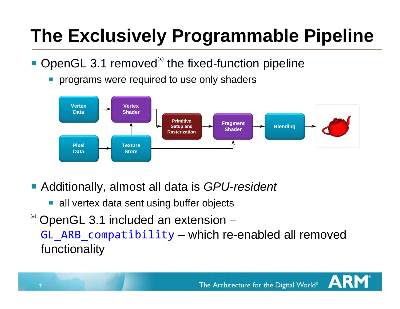## **The Exclusively Programmable Pipeline**

- $\blacksquare$  OpenGL 3.1 removed<sup>\*\*</sup> the fixed-function pipeline
	- p. programs were required to use only shaders



- Additionally, almost all data is *GPU-resident* 
	- **all vertex data sent using buffer objects**

OpenGL 3.1 included an extension – GL ARB compatibility – which re-enabled all removed functionality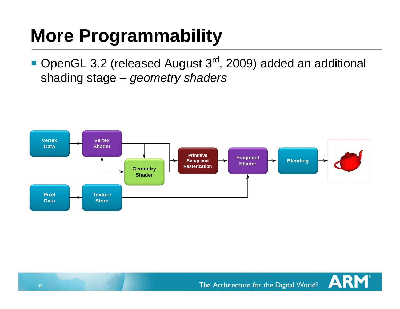### **More Programmability**

■ OpenGL 3.2 (released August 3<sup>rd</sup>, 2009) added an additional shading stage – *geometry shaders*



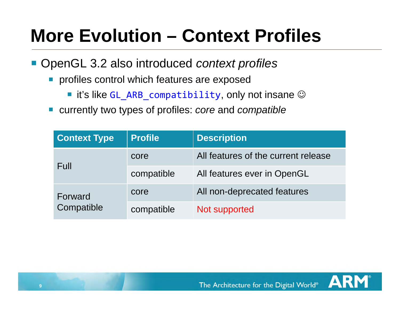### **More Evolution – Context Profiles**

- OpenGL 3.2 also introduced *context profiles* 
	- **Perofiles control which features are exposed** 
		- $\blacksquare$  it's like GL\_ARB\_compatibility, only not insane  $\heartsuit$
	- currently two types of profiles: *core* and *compatible*

| <b>Context Type</b>   | <b>Profile</b> | <b>Description</b>                  |
|-----------------------|----------------|-------------------------------------|
| Full                  | core           | All features of the current release |
|                       | compatible     | All features ever in OpenGL         |
| Forward<br>Compatible | core           | All non-deprecated features         |
|                       | compatible     | Not supported                       |

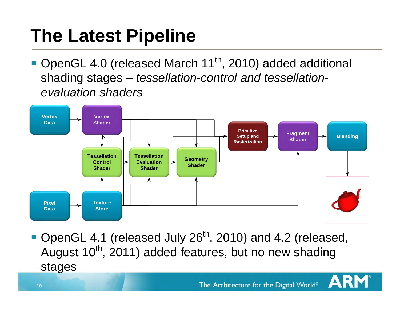### **The Latest Pipeline**

■ OpenGL 4.0 (released March 11<sup>th</sup>, 2010) added additional shading stages – *tessellation-control and tessellationevaluation shaders*



■ OpenGL 4.1 (released July 26<sup>th</sup>, 2010) and 4.2 (released, August  $10^{th}$ , 2011) added features, but no new shading stages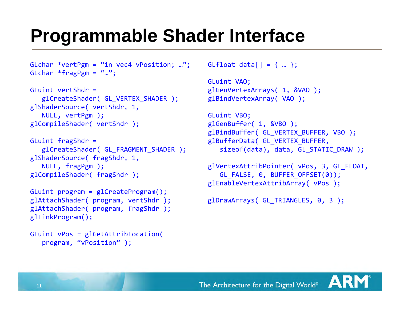### **Programmable Shader Interface**

```
GLchar *vertPgm = "in vec4 vPosition; ...";
GLchar *fragPgm = "...";
```

```
GLuint vertShdr =
   glCreateShader( GL VERTEX SHADER );
glShaderSource( vertShdr, 1,
   NULL, vertPgm );
glCompileShader( vertShdr );
```

```
GLuint fragShdr =
   glCreateShader( GL_FRAGMENT_SHADER );
glShaderSource( fragShdr, 1,
   NULL, fragPgm );
glCompileShader( fragShdr );
```

```
GLuint program = glCreateProgram();
glAttachShader( program, vertShdr );
glAttachShader( program, fragShdr );
glLinkProgram();
```

```
GLuint vPos = glGetAttribLocation(
  program, "vPosition" );
```

```
GLfloat data[] = \{ ... \};
```

```
GLuint VAO;
glGenVertexArrays( 1, &VAO );
glBindVertexArray( VAO );
```

```
GLuint VBO;
glGenBuffer( 1, &VBO );
glBindBuffer( GL VERTEX BUFFER, VBO );
glBufferData( GL_VERTEX_BUFFER,
   sizeof(data), data, GL STATIC DRAW );
```

```
glVertexAttribPointer( vPos, 3, GL_FLOAT,
   GL FALSE, 0, BUFFER OFFSET(0));
glEnableVertexAttribArray( vPos );
```

```
glDrawArrays( GL TRIANGLES, 0, 3 );
```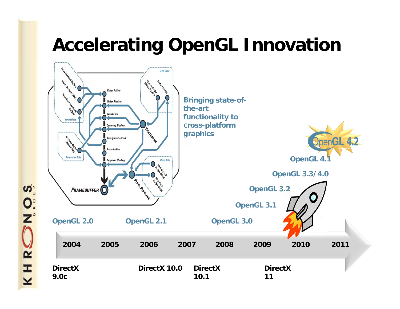### **Accelerating OpenGL Innovation**



No.S Q I  $\overline{\underline{\mathsf{x}}}$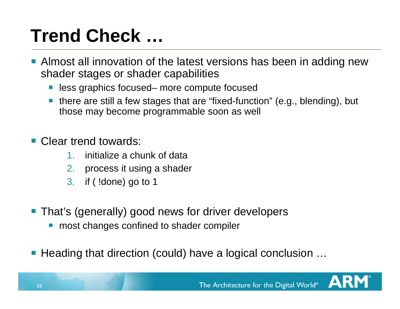### **Trend Check …**

- **Almost all innovation of the latest versions has been in adding new** shader stages or shader capabilities
	- less graphics focused– more compute focused
	- there are still a few stages that are "fixed-function" (e.g., blending), but those may become programmable soon as well

#### Clear trend towards:

- 1.initialize a chunk of data
- 2.process it using a shader
- 3. if ( !done) go to 1
- **That's (generally) good news for driver developers** 
	- **nanges confined to shader compiler**
- Heading that direction (could) have a logical conclusion ...

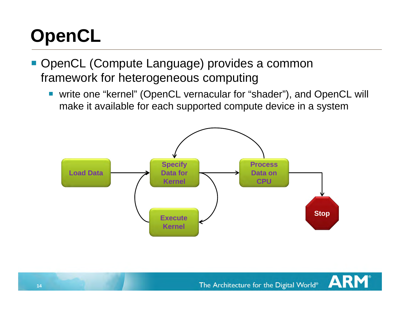## **OpenCL**

- OpenCL (Compute Language) provides a common framework for heterogeneous computing
	- write one "kernel" (OpenCL vernacular for "shader"), and OpenCL will make it available for each supported compute device in a system



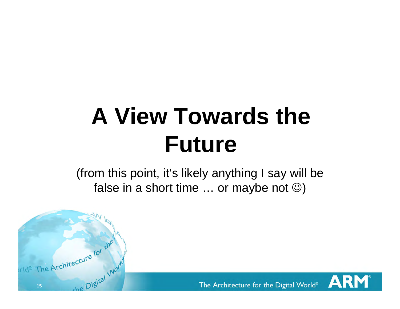# **A View Towards the Future**

(from this point, it's likely anything I say will be false in a short time  $\ldots$  or maybe not  $\circledcirc$ )

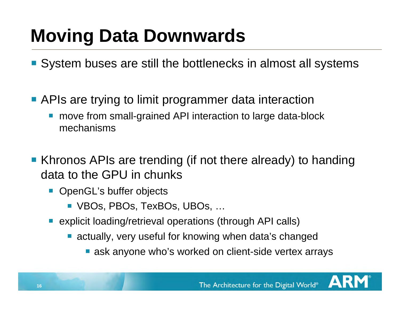### **Moving Data Downwards**

- System buses are still the bottlenecks in almost all systems
- **APIs are trying to limit programmer data interaction** 
	- move from small-grained API interaction to large data-block mechanisms
- Khronos APIs are trending (if not there already) to handing data to the GPU in chunks
	- **OpenGL's buffer objects** 
		- VBOs, PBOs, TexBOs, UBOs, …
	- **E** explicit loading/retrieval operations (through API calls)
		- actually, very useful for knowing when data's changed
			- **E** ask anyone who's worked on client-side vertex arrays

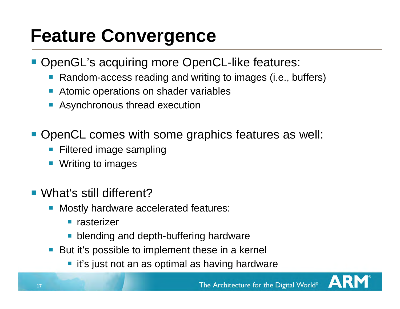### **Feature Convergence**

- **OpenGL's acquiring more OpenCL-like features:** 
	- $\mathcal{L}_{\mathcal{A}}$ Random-access reading and writing to images (i.e., buffers)
	- **Atomic operations on shader variables**
	- **Asynchronous thread execution**
- **OpenCL comes with some graphics features as well:** 
	- p. Filtered image sampling
	- in. Writing to images
- What's still different?
	- **Nostly hardware accelerated features:** 
		- **n** rasterizer
		- **blending and depth-buffering hardware**
	- But it's possible to implement these in a kernel
		- it's just not an as optimal as having hardware

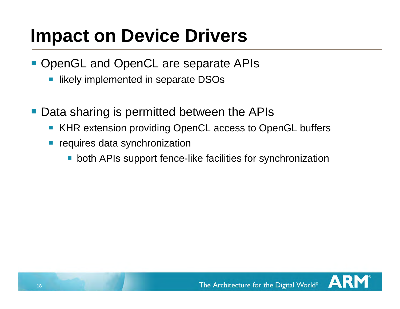### **Impact on Device Drivers**

- **OpenGL and OpenCL are separate APIs** 
	- $\mathcal{L}_{\mathcal{A}}$ likely implemented in separate DSOs
- Data sharing is permitted between the APIs
	- KHR extension providing OpenCL access to OpenGL buffers
	- p. requires data synchronization
		- **DED** both APIs support fence-like facilities for synchronization